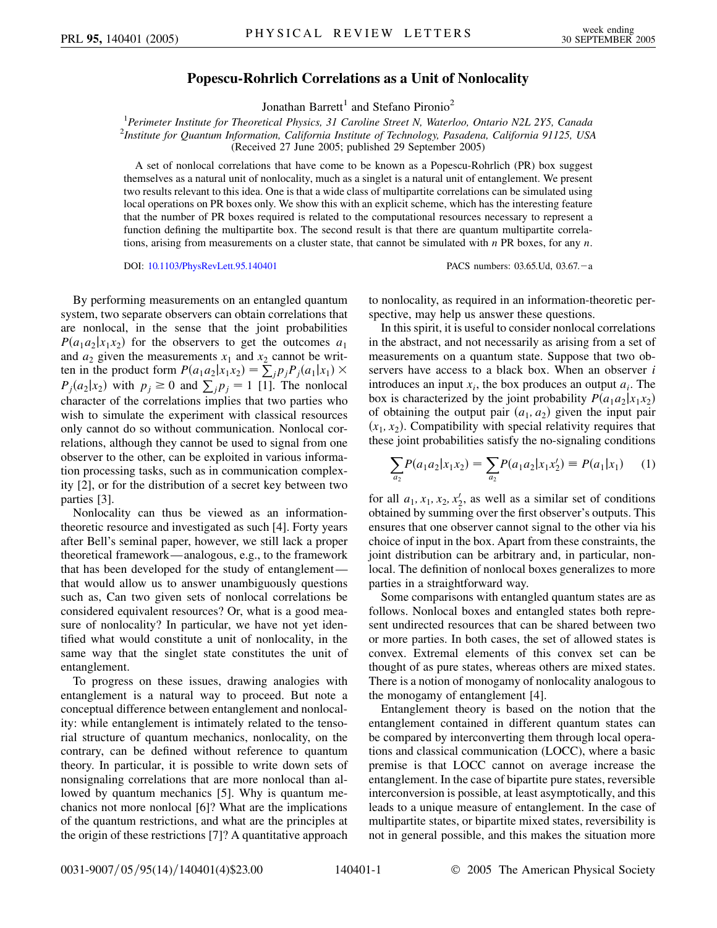## **Popescu-Rohrlich Correlations as a Unit of Nonlocality**

Jonathan Barrett<sup>1</sup> and Stefano Pironio<sup>2</sup>

<sup>1</sup> Perimeter Institute for Theoretical Physics, 31 Caroline Street N, Waterloo, Ontario N2L 2Y5, Canada<br><sup>2</sup>Institute for Quantum Information, California Institute of Technology, Pasadena, California 01125, US *Institute for Quantum Information, California Institute of Technology, Pasadena, California 91125, USA* (Received 27 June 2005; published 29 September 2005)

A set of nonlocal correlations that have come to be known as a Popescu-Rohrlich (PR) box suggest themselves as a natural unit of nonlocality, much as a singlet is a natural unit of entanglement. We present two results relevant to this idea. One is that a wide class of multipartite correlations can be simulated using local operations on PR boxes only. We show this with an explicit scheme, which has the interesting feature that the number of PR boxes required is related to the computational resources necessary to represent a function defining the multipartite box. The second result is that there are quantum multipartite correlations, arising from measurements on a cluster state, that cannot be simulated with *n* PR boxes, for any *n*.

DOI: [10.1103/PhysRevLett.95.140401](http://dx.doi.org/10.1103/PhysRevLett.95.140401) PACS numbers: 03.65.Ud, 03.67.-a

By performing measurements on an entangled quantum system, two separate observers can obtain correlations that are nonlocal, in the sense that the joint probabilities  $P(a_1a_2|x_1x_2)$  for the observers to get the outcomes  $a_1$ and  $a_2$  given the measurements  $x_1$  and  $x_2$  cannot be written in the product form  $P(a_1a_2|x_1x_2) = \sum_j p_jP_j(a_1|x_1) \times$  $P_j(a_2|x_2)$  with  $p_j \ge 0$  and  $\sum_j p_j = 1$  [1]. The nonlocal character of the correlations implies that two parties who wish to simulate the experiment with classical resources only cannot do so without communication. Nonlocal correlations, although they cannot be used to signal from one observer to the other, can be exploited in various information processing tasks, such as in communication complexity [2], or for the distribution of a secret key between two parties [3].

Nonlocality can thus be viewed as an informationtheoretic resource and investigated as such [4]. Forty years after Bell's seminal paper, however, we still lack a proper theoretical framework—analogous, e.g., to the framework that has been developed for the study of entanglement that would allow us to answer unambiguously questions such as, Can two given sets of nonlocal correlations be considered equivalent resources? Or, what is a good measure of nonlocality? In particular, we have not yet identified what would constitute a unit of nonlocality, in the same way that the singlet state constitutes the unit of entanglement.

To progress on these issues, drawing analogies with entanglement is a natural way to proceed. But note a conceptual difference between entanglement and nonlocality: while entanglement is intimately related to the tensorial structure of quantum mechanics, nonlocality, on the contrary, can be defined without reference to quantum theory. In particular, it is possible to write down sets of nonsignaling correlations that are more nonlocal than allowed by quantum mechanics [5]. Why is quantum mechanics not more nonlocal [6]? What are the implications of the quantum restrictions, and what are the principles at the origin of these restrictions [7]? A quantitative approach to nonlocality, as required in an information-theoretic perspective, may help us answer these questions.

In this spirit, it is useful to consider nonlocal correlations in the abstract, and not necessarily as arising from a set of measurements on a quantum state. Suppose that two observers have access to a black box. When an observer *i* introduces an input  $x_i$ , the box produces an output  $a_i$ . The box is characterized by the joint probability  $P(a_1a_2|x_1x_2)$ of obtaining the output pair  $(a_1, a_2)$  given the input pair  $(x_1, x_2)$ . Compatibility with special relativity requires that these joint probabilities satisfy the no-signaling conditions

$$
\sum_{a_2} P(a_1 a_2 | x_1 x_2) = \sum_{a_2} P(a_1 a_2 | x_1 x_2') \equiv P(a_1 | x_1) \tag{1}
$$

for all  $a_1, x_1, x_2, x_2'$ , as well as a similar set of conditions obtained by summing over the first observer's outputs. This ensures that one observer cannot signal to the other via his choice of input in the box. Apart from these constraints, the joint distribution can be arbitrary and, in particular, nonlocal. The definition of nonlocal boxes generalizes to more parties in a straightforward way.

Some comparisons with entangled quantum states are as follows. Nonlocal boxes and entangled states both represent undirected resources that can be shared between two or more parties. In both cases, the set of allowed states is convex. Extremal elements of this convex set can be thought of as pure states, whereas others are mixed states. There is a notion of monogamy of nonlocality analogous to the monogamy of entanglement [4].

Entanglement theory is based on the notion that the entanglement contained in different quantum states can be compared by interconverting them through local operations and classical communication (LOCC), where a basic premise is that LOCC cannot on average increase the entanglement. In the case of bipartite pure states, reversible interconversion is possible, at least asymptotically, and this leads to a unique measure of entanglement. In the case of multipartite states, or bipartite mixed states, reversibility is not in general possible, and this makes the situation more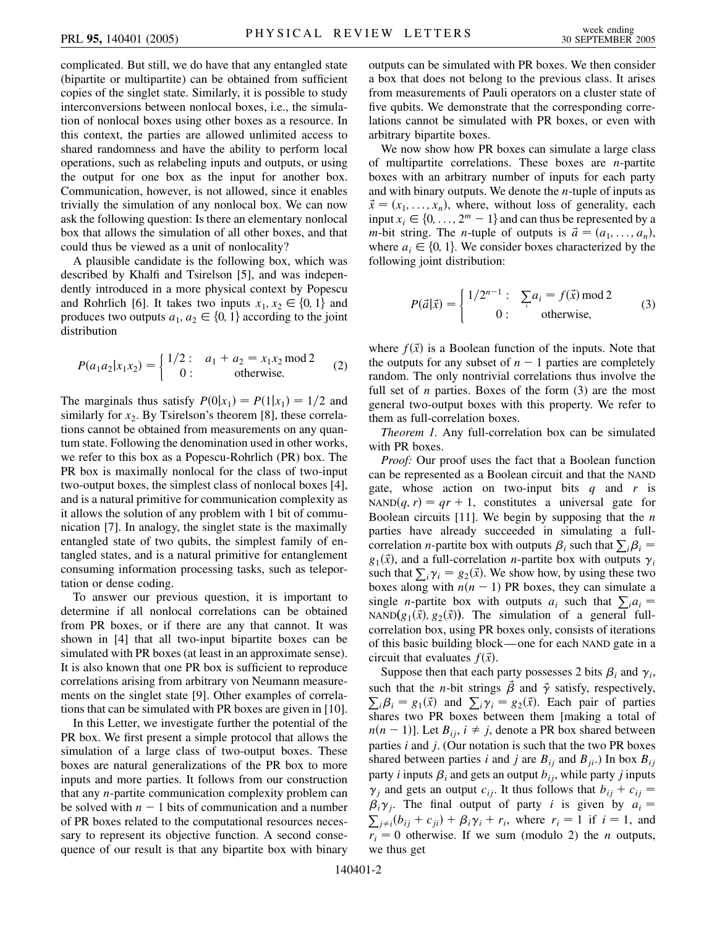complicated. But still, we do have that any entangled state (bipartite or multipartite) can be obtained from sufficient copies of the singlet state. Similarly, it is possible to study interconversions between nonlocal boxes, i.e., the simulation of nonlocal boxes using other boxes as a resource. In this context, the parties are allowed unlimited access to shared randomness and have the ability to perform local operations, such as relabeling inputs and outputs, or using the output for one box as the input for another box. Communication, however, is not allowed, since it enables trivially the simulation of any nonlocal box. We can now ask the following question: Is there an elementary nonlocal box that allows the simulation of all other boxes, and that could thus be viewed as a unit of nonlocality?

A plausible candidate is the following box, which was described by Khalfi and Tsirelson [5], and was independently introduced in a more physical context by Popescu and Rohrlich [6]. It takes two inputs  $x_1, x_2 \in \{0, 1\}$  and produces two outputs  $a_1, a_2 \in \{0, 1\}$  according to the joint distribution

$$
P(a_1 a_2 | x_1 x_2) = \begin{cases} 1/2: & a_1 + a_2 = x_1 x_2 \mod 2 \\ 0: & \text{otherwise.} \end{cases}
$$
 (2)

The marginals thus satisfy  $P(0|x_1) = P(1|x_1) = 1/2$  and similarly for  $x_2$ . By Tsirelson's theorem [8], these correlations cannot be obtained from measurements on any quantum state. Following the denomination used in other works, we refer to this box as a Popescu-Rohrlich (PR) box. The PR box is maximally nonlocal for the class of two-input two-output boxes, the simplest class of nonlocal boxes [4], and is a natural primitive for communication complexity as it allows the solution of any problem with 1 bit of communication [7]. In analogy, the singlet state is the maximally entangled state of two qubits, the simplest family of entangled states, and is a natural primitive for entanglement consuming information processing tasks, such as teleportation or dense coding.

To answer our previous question, it is important to determine if all nonlocal correlations can be obtained from PR boxes, or if there are any that cannot. It was shown in [4] that all two-input bipartite boxes can be simulated with PR boxes (at least in an approximate sense). It is also known that one PR box is sufficient to reproduce correlations arising from arbitrary von Neumann measurements on the singlet state [9]. Other examples of correlations that can be simulated with PR boxes are given in [10].

In this Letter, we investigate further the potential of the PR box. We first present a simple protocol that allows the simulation of a large class of two-output boxes. These boxes are natural generalizations of the PR box to more inputs and more parties. It follows from our construction that any *n*-partite communication complexity problem can be solved with  $n - 1$  bits of communication and a number of PR boxes related to the computational resources necessary to represent its objective function. A second consequence of our result is that any bipartite box with binary outputs can be simulated with PR boxes. We then consider a box that does not belong to the previous class. It arises from measurements of Pauli operators on a cluster state of five qubits. We demonstrate that the corresponding correlations cannot be simulated with PR boxes, or even with arbitrary bipartite boxes.

We now show how PR boxes can simulate a large class of multipartite correlations. These boxes are *n*-partite boxes with an arbitrary number of inputs for each party and with binary outputs. We denote the *n*-tuple of inputs as  $\vec{x} = (x_1, \ldots, x_n)$ , where, without loss of generality, each input  $x_i \in \{0, \ldots, 2^m - 1\}$  and can thus be represented by a *m*-bit string. The *n*-tuple of outputs is  $\vec{a} = (a_1, \ldots, a_n)$ , where  $a_i \in \{0, 1\}$ . We consider boxes characterized by the following joint distribution:

$$
P(\vec{a}|\vec{x}) = \begin{cases} 1/2^{n-1} : & \sum_{i} a_i = f(\vec{x}) \mod 2 \\ 0 : & \text{otherwise,} \end{cases}
$$
 (3)

where  $f(\vec{x})$  is a Boolean function of the inputs. Note that the outputs for any subset of  $n - 1$  parties are completely random. The only nontrivial correlations thus involve the full set of *n* parties. Boxes of the form (3) are the most general two-output boxes with this property. We refer to them as full-correlation boxes.

*Theorem 1.* Any full-correlation box can be simulated with PR boxes.

*Proof:* Our proof uses the fact that a Boolean function can be represented as a Boolean circuit and that the NAND gate, whose action on two-input bits *q* and *r* is NAND(q, r) =  $qr + 1$ , constitutes a universal gate for Boolean circuits [11]. We begin by supposing that the *n* parties have already succeeded in simulating a fullcorrelation *n*-partite box with outputs  $\beta_i$  such that  $\sum_i \beta_i =$  $g_1(\vec{x})$ , and a full-correlation *n*-partite box with outputs  $\gamma_i$ such that  $\sum_i \gamma_i = g_2(\vec{x})$ . We show how, by using these two boxes along with  $n(n - 1)$  PR boxes, they can simulate a single *n*-partite box with outputs  $a_i$  such that  $\sum_i a_i =$ NAND $(g_1(\vec{x}), g_2(\vec{x}))$ . The simulation of a general fullcorrelation box, using PR boxes only, consists of iterations of this basic building block—one for each NAND gate in a circuit that evaluates  $f(\vec{x})$ .

Suppose then that each party possesses 2 bits  $\beta_i$  and  $\gamma_i$ , such that the *n*-bit strings  $\vec{\beta}$  and  $\vec{\gamma}$  satisfy, respectively,  $\sum_i \beta_i = g_1(\vec{x})$  and  $\sum_i \gamma_i = g_2(\vec{x})$ . Each pair of parties shares two PR boxes between them [making a total of  $n(n-1)$ ]. Let  $B_{ij}$ ,  $i \neq j$ , denote a PR box shared between parties *i* and *j*. (Our notation is such that the two PR boxes shared between parties *i* and *j* are  $B_{ij}$  and  $B_{ji}$ .) In box  $B_{ij}$ party *i* inputs  $\beta_i$  and gets an output  $b_{ij}$ , while party *j* inputs  $\gamma_j$  and gets an output  $c_{ij}$ . It thus follows that  $b_{ij} + c_{ij} =$  $\beta_i \gamma_j$ . The final output of party *i* is given by  $a_i = \sum_{i=1}^{n} (b_i + c_i) + \beta_i \gamma_i + r$ , where  $r = 1$  if  $i = 1$  and  $j \neq i$   $(b_{ij} + c_{ji}) + \beta_i \gamma_i + r_i$ , where  $r_i = 1$  if  $i = 1$ , and  $r_i = 0$  otherwise. If we sum (modulo 2) the *n* outputs, we thus get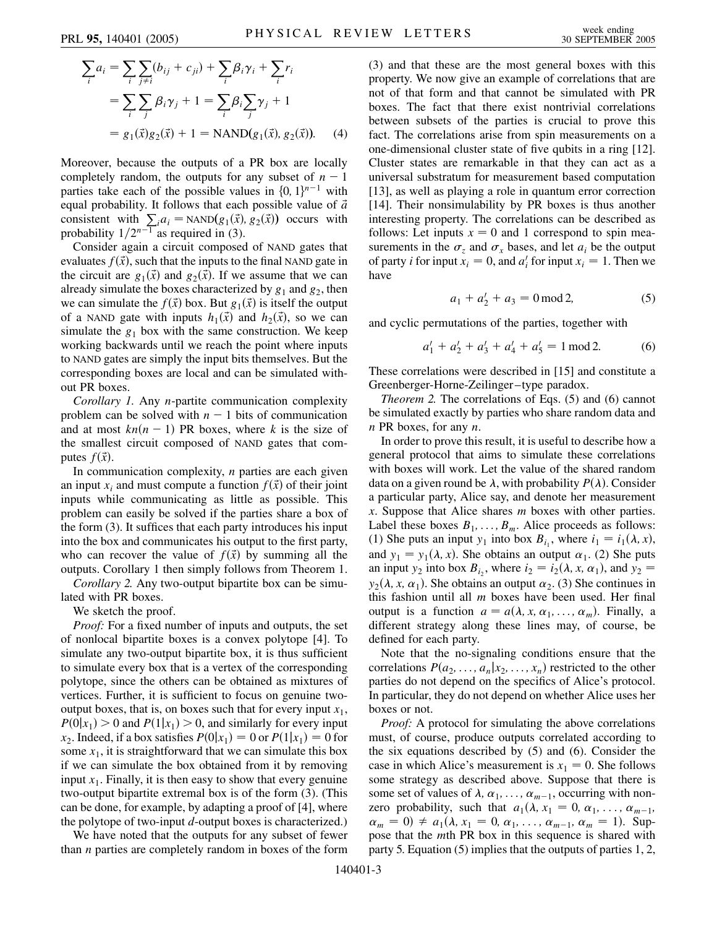$$
\sum_{i} a_i = \sum_{i} \sum_{j \neq i} (b_{ij} + c_{ji}) + \sum_{i} \beta_i \gamma_i + \sum_{i} r_i
$$
  
= 
$$
\sum_{i} \sum_{j} \beta_i \gamma_j + 1 = \sum_{i} \beta_i \sum_{j} \gamma_j + 1
$$
  
= 
$$
g_1(\vec{x}) g_2(\vec{x}) + 1 = \text{NAND}(g_1(\vec{x}), g_2(\vec{x})).
$$
 (4)

Moreover, because the outputs of a PR box are locally completely random, the outputs for any subset of  $n - 1$ parties take each of the possible values in  $\{0, 1\}^{n-1}$  with equal probability. It follows that each possible value of *a~* consistent with  $\sum_{i} a_i = \text{NAND}(g_1(\vec{x}), g_2(\vec{x}))$  occurs with probability  $1/2^{n-1}$  as required in (3).

Consider again a circuit composed of NAND gates that evaluates  $f(\vec{x})$ , such that the inputs to the final NAND gate in the circuit are  $g_1(\vec{x})$  and  $g_2(\vec{x})$ . If we assume that we can already simulate the boxes characterized by  $g_1$  and  $g_2$ , then we can simulate the  $f(\vec{x})$  box. But  $g_1(\vec{x})$  is itself the output of a NAND gate with inputs  $h_1(\vec{x})$  and  $h_2(\vec{x})$ , so we can simulate the  $g_1$  box with the same construction. We keep working backwards until we reach the point where inputs to NAND gates are simply the input bits themselves. But the corresponding boxes are local and can be simulated without PR boxes.

*Corollary 1.* Any *n*-partite communication complexity problem can be solved with  $n - 1$  bits of communication and at most  $kn(n-1)$  PR boxes, where *k* is the size of the smallest circuit composed of NAND gates that computes  $f(\vec{x})$ .

In communication complexity, *n* parties are each given an input  $x_i$  and must compute a function  $f(\vec{x})$  of their joint inputs while communicating as little as possible. This problem can easily be solved if the parties share a box of the form (3). It suffices that each party introduces his input into the box and communicates his output to the first party, who can recover the value of  $f(\vec{x})$  by summing all the outputs. Corollary 1 then simply follows from Theorem 1.

*Corollary 2.* Any two-output bipartite box can be simulated with PR boxes.

We sketch the proof.

*Proof:* For a fixed number of inputs and outputs, the set of nonlocal bipartite boxes is a convex polytope [4]. To simulate any two-output bipartite box, it is thus sufficient to simulate every box that is a vertex of the corresponding polytope, since the others can be obtained as mixtures of vertices. Further, it is sufficient to focus on genuine twooutput boxes, that is, on boxes such that for every input  $x_1$ ,  $P(0|x_1) > 0$  and  $P(1|x_1) > 0$ , and similarly for every input *x*<sub>2</sub>. Indeed, if a box satisfies  $P(0|x_1) = 0$  or  $P(1|x_1) = 0$  for some  $x_1$ , it is straightforward that we can simulate this box if we can simulate the box obtained from it by removing input  $x_1$ . Finally, it is then easy to show that every genuine two-output bipartite extremal box is of the form (3). (This can be done, for example, by adapting a proof of [4], where the polytope of two-input *d*-output boxes is characterized.)

We have noted that the outputs for any subset of fewer than *n* parties are completely random in boxes of the form (3) and that these are the most general boxes with this property. We now give an example of correlations that are not of that form and that cannot be simulated with PR boxes. The fact that there exist nontrivial correlations between subsets of the parties is crucial to prove this fact. The correlations arise from spin measurements on a one-dimensional cluster state of five qubits in a ring [12]. Cluster states are remarkable in that they can act as a universal substratum for measurement based computation [13], as well as playing a role in quantum error correction [14]. Their nonsimulability by PR boxes is thus another interesting property. The correlations can be described as follows: Let inputs  $x = 0$  and 1 correspond to spin measurements in the  $\sigma_z$  and  $\sigma_x$  bases, and let  $a_i$  be the output of party *i* for input  $x_i = 0$ , and  $a'_i$  for input  $x_i = 1$ . Then we have

$$
a_1 + a_2' + a_3 = 0 \mod 2,\tag{5}
$$

and cyclic permutations of the parties, together with

$$
a'_1 + a'_2 + a'_3 + a'_4 + a'_5 = 1 \mod 2. \tag{6}
$$

These correlations were described in [15] and constitute a Greenberger-Horne-Zeilinger –type paradox.

*Theorem 2.* The correlations of Eqs. (5) and (6) cannot be simulated exactly by parties who share random data and *n* PR boxes, for any *n*.

In order to prove this result, it is useful to describe how a general protocol that aims to simulate these correlations with boxes will work. Let the value of the shared random data on a given round be  $\lambda$ , with probability  $P(\lambda)$ . Consider a particular party, Alice say, and denote her measurement *x*. Suppose that Alice shares *m* boxes with other parties. Label these boxes  $B_1, \ldots, B_m$ . Alice proceeds as follows: (1) She puts an input  $y_1$  into box  $B_{i_1}$ , where  $i_1 = i_1(\lambda, x)$ , and  $y_1 = y_1(\lambda, x)$ . She obtains an output  $\alpha_1$ . (2) She puts an input  $y_2$  into box  $B_{i_2}$ , where  $i_2 = i_2(\lambda, x, \alpha_1)$ , and  $y_2 =$  $y_2(\lambda, x, \alpha_1)$ . She obtains an output  $\alpha_2$ . (3) She continues in this fashion until all *m* boxes have been used. Her final output is a function  $a = a(\lambda, x, \alpha_1, \ldots, \alpha_m)$ . Finally, a different strategy along these lines may, of course, be defined for each party.

Note that the no-signaling conditions ensure that the correlations  $P(a_2, \ldots, a_n | x_2, \ldots, x_n)$  restricted to the other parties do not depend on the specifics of Alice's protocol. In particular, they do not depend on whether Alice uses her boxes or not.

*Proof:* A protocol for simulating the above correlations must, of course, produce outputs correlated according to the six equations described by (5) and (6). Consider the case in which Alice's measurement is  $x_1 = 0$ . She follows some strategy as described above. Suppose that there is some set of values of  $\lambda$ ,  $\alpha_1$ , ...,  $\alpha_{m-1}$ , occurring with nonzero probability, such that  $a_1(\lambda, x_1 = 0, \alpha_1, \ldots, \alpha_{m-1},$  $\alpha_m = 0$   $\neq a_1(\lambda, x_1 = 0, \alpha_1, \ldots, \alpha_{m-1}, \alpha_m = 1)$ . Suppose that the *m*th PR box in this sequence is shared with party 5. Equation (5) implies that the outputs of parties 1, 2,